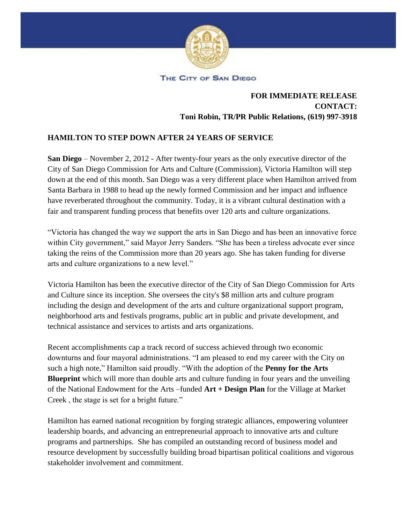

THE CITY OF SAN DIEGO

## **FOR IMMEDIATE RELEASE CONTACT: Toni Robin, TR/PR Public Relations, (619) 997-3918**

## **HAMILTON TO STEP DOWN AFTER 24 YEARS OF SERVICE**

**San Diego** – November 2, 2012 - After twenty-four years as the only executive director of the City of San Diego Commission for Arts and Culture (Commission), Victoria Hamilton will step down at the end of this month. San Diego was a very different place when Hamilton arrived from Santa Barbara in 1988 to head up the newly formed Commission and her impact and influence have reverberated throughout the community. Today, it is a vibrant cultural destination with a fair and transparent funding process that benefits over 120 arts and culture organizations.

"Victoria has changed the way we support the arts in San Diego and has been an innovative force within City government," said Mayor Jerry Sanders. "She has been a tireless advocate ever since taking the reins of the Commission more than 20 years ago. She has taken funding for diverse arts and culture organizations to a new level."

Victoria Hamilton has been the executive director of the City of San Diego Commission for Arts and Culture since its inception. She oversees the city's \$8 million arts and culture program including the design and development of the arts and culture organizational support program, neighborhood arts and festivals programs, public art in public and private development, and technical assistance and services to artists and arts organizations.

Recent accomplishments cap a track record of success achieved through two economic downturns and four mayoral administrations. "I am pleased to end my career with the City on such a high note," Hamilton said proudly. "With the adoption of the **Penny for the Arts Blueprint** which will more than double arts and culture funding in four years and the unveiling of the National Endowment for the Arts –funded **Art + Design Plan** for the Village at Market Creek , the stage is set for a bright future."

Hamilton has earned national recognition by forging strategic alliances, empowering volunteer leadership boards, and advancing an entrepreneurial approach to innovative arts and culture programs and partnerships. She has compiled an outstanding record of business model and resource development by successfully building broad bipartisan political coalitions and vigorous stakeholder involvement and commitment.